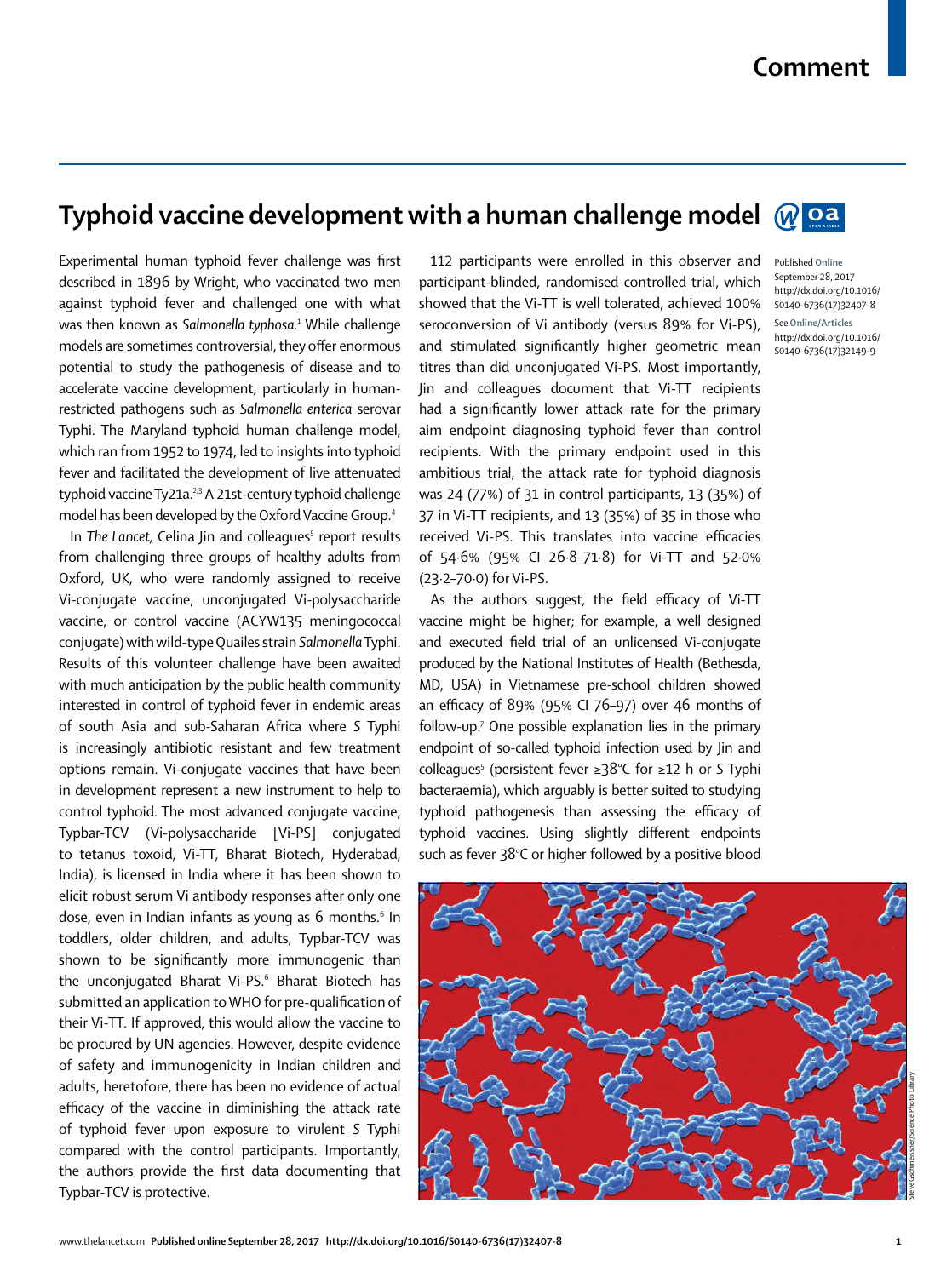## **Comment**

Published **Online** September 28, 2017 http://dx.doi.org/10.1016/ S0140-6736(17)32407-8 See**Online/Articles** http://dx.doi.org/10.1016/ S0140-6736(17)32149-9

## **Typhoid vaccine development with a human challenge model**

Experimental human typhoid fever challenge was first described in 1896 by Wright, who vaccinated two men against typhoid fever and challenged one with what was then known as *Salmonella typhosa*. 1 While challenge models are sometimes controversial, they offer enormous potential to study the pathogenesis of disease and to accelerate vaccine development, particularly in humanrestricted pathogens such as *Salmonella enterica* serovar Typhi. The Maryland typhoid human challenge model, which ran from 1952 to 1974, led to insights into typhoid fever and facilitated the development of live attenuated typhoid vaccine Ty21a.<sup>2,3</sup> A 21st-century typhoid challenge model has been developed by the Oxford Vaccine Group.4

In The Lancet, Celina Jin and colleagues<sup>5</sup> report results from challenging three groups of healthy adults from Oxford, UK, who were randomly assigned to receive Vi-conjugate vaccine, unconjugated Vi-polysaccharide vaccine, or control vaccine (ACYW135 meningococcal conjugate) with wild-type Quailes strain *Salmonella* Typhi. Results of this volunteer challenge have been awaited with much anticipation by the public health community interested in control of typhoid fever in endemic areas of south Asia and sub-Saharan Africa where *S* Typhi is increasingly antibiotic resistant and few treatment options remain. Vi-conjugate vaccines that have been in development represent a new instrument to help to control typhoid. The most advanced conjugate vaccine, Typbar-TCV (Vi-polysaccharide [Vi-PS] conjugated to tetanus toxoid, Vi-TT, Bharat Biotech, Hyderabad, India), is licensed in India where it has been shown to elicit robust serum Vi antibody responses after only one dose, even in Indian infants as young as 6 months.<sup>6</sup> In toddlers, older children, and adults, Typbar-TCV was shown to be significantly more immunogenic than the unconjugated Bharat Vi-PS.<sup>6</sup> Bharat Biotech has submitted an application to WHO for pre-qualification of their Vi-TT. If approved, this would allow the vaccine to be procured by UN agencies. However, despite evidence of safety and immunogenicity in Indian children and adults, heretofore, there has been no evidence of actual efficacy of the vaccine in diminishing the attack rate of typhoid fever upon exposure to virulent *S* Typhi compared with the control participants. Importantly, the authors provide the first data documenting that Typbar-TCV is protective.

112 participants were enrolled in this observer and participant-blinded, randomised controlled trial, which showed that the Vi-TT is well tolerated, achieved 100% seroconversion of Vi antibody (versus 89% for Vi-PS), and stimulated significantly higher geometric mean titres than did unconjugated Vi-PS. Most importantly, Jin and colleagues document that Vi-TT recipients had a significantly lower attack rate for the primary aim endpoint diagnosing typhoid fever than control recipients. With the primary endpoint used in this ambitious trial, the attack rate for typhoid diagnosis was 24 (77%) of 31 in control participants, 13 (35%) of 37 in Vi-TT recipients, and 13 (35%) of 35 in those who received Vi-PS. This translates into vaccine efficacies of 54·6% (95% CI 26·8–71·8) for Vi-TT and 52·0% (23·2–70·0) for Vi-PS.

As the authors suggest, the field efficacy of Vi-TT vaccine might be higher; for example, a well designed and executed field trial of an unlicensed Vi-conjugate produced by the National Institutes of Health (Bethesda, MD, USA) in Vietnamese pre-school children showed an efficacy of 89% (95% CI 76–97) over 46 months of follow-up.7 One possible explanation lies in the primary endpoint of so-called typhoid infection used by Jin and colleagues5 (persistent fever ≥38°C for ≥12 h or *S* Typhi bacteraemia), which arguably is better suited to studying typhoid pathogenesis than assessing the efficacy of typhoid vaccines. Using slightly different endpoints such as fever 38°C or higher followed by a positive blood